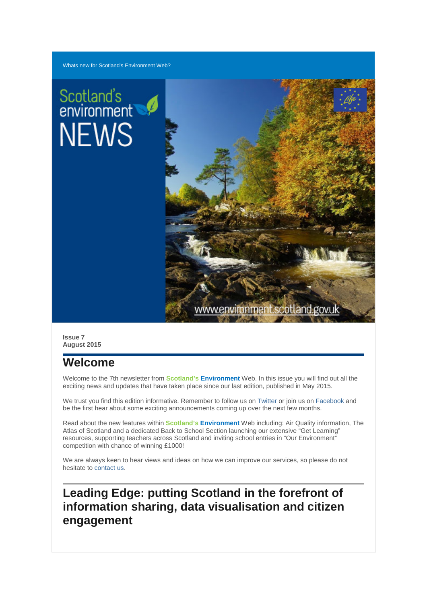# Scotland's<br>environment **NEWS**



**Issue 7 August 2015**

# **Welcome**

Welcome to the 7th newsletter from **Scotland's Environment** Web. In this issue you will find out all the exciting news and updates that have taken place since our last edition, published in May 2015.

We trust you find this edition informative. Remember to follow us on [Twitter](https://twitter.com/ScotEnvironment) or join us on [Facebook](https://www.facebook.com/pages/Scotlands-Environment-Web/504094719673549) and be the first hear about some exciting announcements coming up over the next few months.

Read about the new features within **Scotland's Environment** Web including: Air Quality information, The Atlas of Scotland and a dedicated Back to School Section launching our extensive "Get Learning" resources, supporting teachers across Scotland and inviting school entries in "Our Environment" competition with chance of winning £1000!

We are always keen to hear views and ideas on how we can improve our services, so please do not hesitate t[o contact us.](http://www.environment.scotland.gov.uk/get-communicating/contact-us)

## **Leading Edge: putting Scotland in the forefront of information sharing, data visualisation and citizen engagement**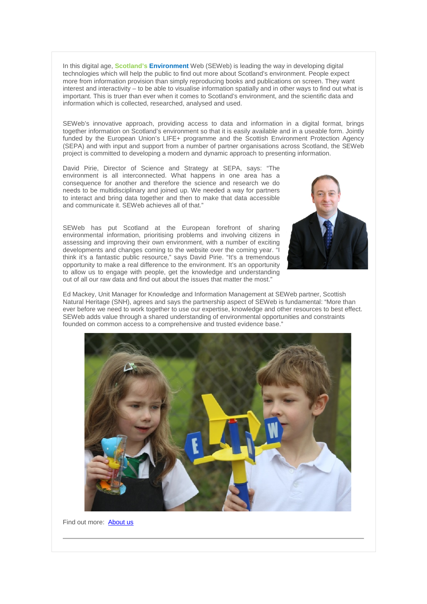In this digital age, **Scotland's Environment** Web (SEWeb) is leading the way in developing digital technologies which will help the public to find out more about Scotland's environment. People expect more from information provision than simply reproducing books and publications on screen. They want interest and interactivity – to be able to visualise information spatially and in other ways to find out what is important. This is truer than ever when it comes to Scotland's environment, and the scientific data and information which is collected, researched, analysed and used.

SEWeb's innovative approach, providing access to data and information in a digital format, brings together information on Scotland's environment so that it is easily available and in a useable form. Jointly funded by the European Union's LIFE+ programme and the Scottish Environment Protection Agency (SEPA) and with input and support from a number of partner organisations across Scotland, the SEWeb project is committed to developing a modern and dynamic approach to presenting information.

David Pirie, Director of Science and Strategy at SEPA, says: "The environment is all interconnected. What happens in one area has a consequence for another and therefore the science and research we do needs to be multidisciplinary and joined up. We needed a way for partners to interact and bring data together and then to make that data accessible and communicate it. SEWeb achieves all of that."

SEWeb has put Scotland at the European forefront of sharing environmental information, prioritising problems and involving citizens in assessing and improving their own environment, with a number of exciting developments and changes coming to the website over the coming year. "I think it's a fantastic public resource," says David Pirie. "It's a tremendous opportunity to make a real difference to the environment. It's an opportunity to allow us to engage with people, get the knowledge and understanding out of all our raw data and find out about the issues that matter the most."



Ed Mackey, Unit Manager for Knowledge and Information Management at SEWeb partner, Scottish Natural Heritage (SNH), agrees and says the partnership aspect of SEWeb is fundamental: "More than ever before we need to work together to use our expertise, knowledge and other resources to best effect. SEWeb adds value through a shared understanding of environmental opportunities and constraints founded on common access to a comprehensive and trusted evidence base."



Find out more: [About us](http://www.environment.scotland.gov.uk/about-us/)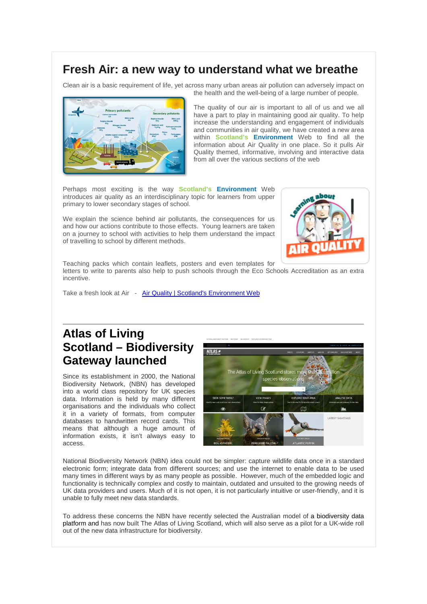#### **Fresh Air: a new way to understand what we breathe**

Clean air is a basic requirement of life, yet across many urban areas air pollution can adversely impact on the health and the well-being of a large number of people.



The quality of our air is important to all of us and we all have a part to play in maintaining good air quality. To help increase the understanding and engagement of individuals and communities in air quality, we have created a new area within **Scotland's Environment** Web to find all the information about Air Quality in one place. So it pulls Air Quality themed, informative, involving and interactive data from all over the various sections of the web

Perhaps most exciting is the way **Scotland's Environment** Web introduces air quality as an interdisciplinary topic for learners from upper primary to lower secondary stages of school.

We explain the science behind air pollutants, the consequences for us and how our actions contribute to those effects. Young learners are taken on a journey to school with activities to help them understand the impact of travelling to school by different methods.



Teaching packs which contain leaflets, posters and even templates for

letters to write to parents also help to push schools through the Eco Schools Accreditation as an extra incentive.

Take a fresh look at Air - [Air Quality | Scotland's Environment Web](http://www.environment.scotland.gov.uk/air-quality/)

# **Atlas of Living Scotland – Biodiversity Gateway launched**

Since its establishment in 2000, the National Biodiversity Network, (NBN) has developed into a world class repository for UK species data. Information is held by many different organisations and the individuals who collect it in a variety of formats, from computer databases to handwritten record cards. This means that although a huge amount of information exists, it isn't always easy to access.



National Biodiversity Network (NBN) idea could not be simpler: capture wildlife data once in a standard electronic form; integrate data from different sources; and use the internet to enable data to be used many times in different ways by as many people as possible. However, much of the embedded logic and functionality is technically complex and costly to maintain, outdated and unsuited to the growing needs of UK data providers and users. Much of it is not open, it is not particularly intuitive or user-friendly, and it is unable to fully meet new data standards.

To address these concerns the NBN have recently selected the Australian model of a biodiversity data platform and has now built The Atlas of Living Scotland, which will also serve as a pilot for a UK-wide roll out of the new data infrastructure for biodiversity.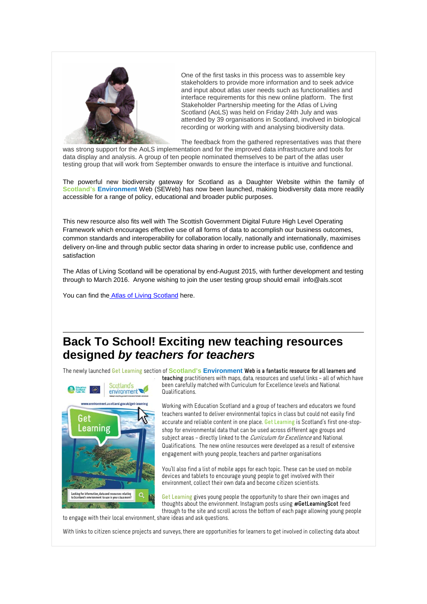

One of the first tasks in this process was to assemble key stakeholders to provide more information and to seek advice and input about atlas user needs such as functionalities and interface requirements for this new online platform. The first Stakeholder Partnership meeting for the Atlas of Living Scotland (AoLS) was held on Friday 24th July and was attended by 39 organisations in Scotland, involved in biological recording or working with and analysing biodiversity data.

The feedback from the gathered representatives was that there

was strong support for the AoLS implementation and for the improved data infrastructure and tools for data display and analysis. A group of ten people nominated themselves to be part of the atlas user testing group that will work from September onwards to ensure the interface is intuitive and functional.

The powerful new biodiversity gateway for Scotland as a Daughter Website within the family of **Scotland's Environment** Web (SEWeb) has now been launched, making biodiversity data more readily accessible for a range of policy, educational and broader public purposes.

This new resource also fits well with The Scottish Government Digital Future High Level Operating Framework which encourages effective use of all forms of data to accomplish our business outcomes, common standards and interoperability for collaboration locally, nationally and internationally, maximises delivery on-line and through public sector data sharing in order to increase public use, confidence and satisfaction

The Atlas of Living Scotland will be operational by end-August 2015, with further development and testing through to March 2016. Anyone wishing to join the user testing group should email [info@als.scot](mailto:info@als.scot)

You can find the [Atlas of Living Scotland](http://www.als.scot/) here.

### **Back To School! Exciting new teaching resources designed** *by teachers for teachers*

The newly launched **Get Learning** section of **Scotland's Environment Web is a fantastic resource for all learners and** 



**teaching** practitioners with maps, data, resources and useful links – all of which have been carefully matched with Curriculum for Excellence levels and National Qualifications.

Working with Education Scotland and a group of teachers and educators we found teachers wanted to deliver environmental topics in class but could not easily find accurate and reliable content in one place. **Get Learning** is Scotland's first one-stopshop for environmental data that can be used across different age groups and subject areas – directly linked to the *Curriculum for Excellence* and National Qualifications.The new online resources were developed as a result of extensive engagement with young people, teachers and partner organisations

You'll also find a list of mobile apps for each topic. These can be used on mobile devices and tablets to encourage young people to get involved with their environment, collect their own data and become citizen scientists.

**Get Learning** gives young people the opportunity to share their own images and thoughts about the environment. Instagram posts using **#GetLearningScot** feed through to the site and scroll across the bottom of each page allowing young people

to engage with their local environment, share ideas and ask questions.

With links to citizen science projects and surveys, there are opportunities for learners to get involved in collecting data about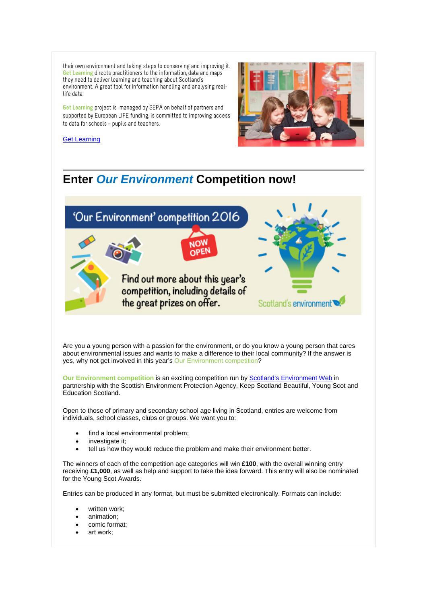their own environment and taking steps to conserving and improving it. **Get Learning** directs practitioners to the information, data and maps they need to deliver learning and teaching about Scotland's environment. A great tool for information handling and analysing reallife data.

**Get Learning** project is managed by SEPA on behalf of partners and supported by European LIFE funding, is committed to improving access to data for schools – pupils and teachers.



[Get Learning](http://www.environment.scotland.gov.uk/get-learning/)

## **Enter** *Our Environment* **Competition now!**



Are you a young person with a passion for the environment, or do you know a young person that cares about environmental issues and wants to make a difference to their local community? If the answer is yes, why not get involved in this year's Our Environment competition?

**Our Environment competition is an exciting competition run b[y Scotland's Environment Web](http://www.environment.scotland.gov.uk/) in** partnership with the Scottish Environment Protection Agency, Keep Scotland Beautiful, Young Scot and Education Scotland.

Open to those of primary and secondary school age living in Scotland, entries are welcome from individuals, school classes, clubs or groups. We want you to:

- find a local environmental problem;
- investigate it:
- tell us how they would reduce the problem and make their environment better.

The winners of each of the competition age categories will win **£100**, with the overall winning entry receiving **£1,000**, as well as help and support to take the idea forward. This entry will also be nominated for the Young Scot Awards.

Entries can be produced in any format, but must be submitted electronically. Formats can include:

- written work;
- animation;
- comic format:
- art work;